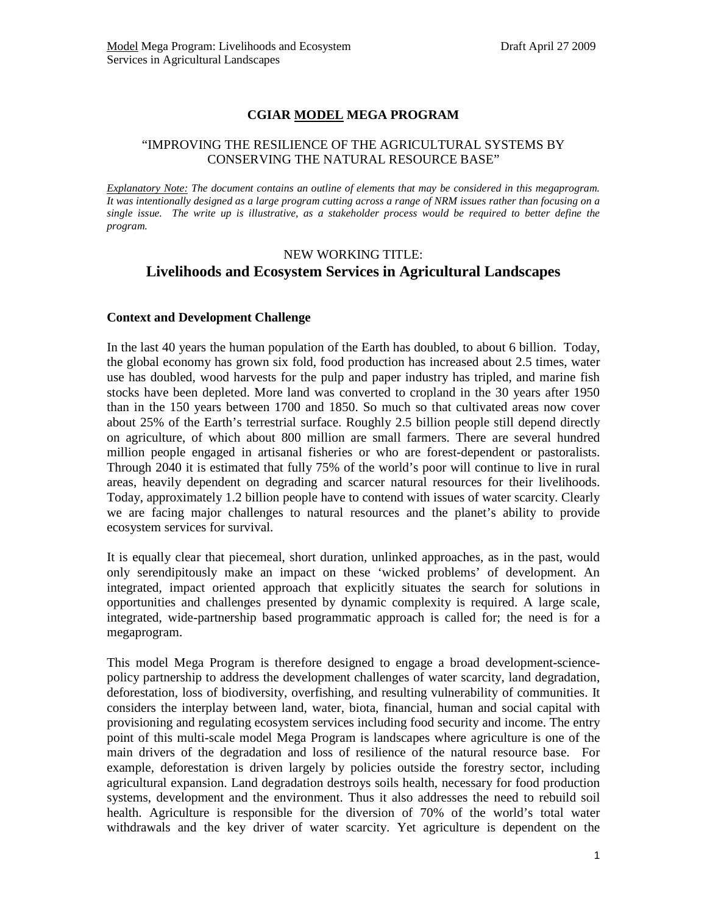## **CGIAR MODEL MEGA PROGRAM**

## "IMPROVING THE RESILIENCE OF THE AGRICULTURAL SYSTEMS BY CONSERVING THE NATURAL RESOURCE BASE"

*Explanatory Note: The document contains an outline of elements that may be considered in this megaprogram. It was intentionally designed as a large program cutting across a range of NRM issues rather than focusing on a single issue. The write up is illustrative, as a stakeholder process would be required to better define the program.*

# NEW WORKING TITLE: **Livelihoods and Ecosystem Services in Agricultural Landscapes**

## **Context and Development Challenge**

In the last 40 years the human population of the Earth has doubled, to about 6 billion. Today, the global economy has grown six fold, food production has increased about 2.5 times, water use has doubled, wood harvests for the pulp and paper industry has tripled, and marine fish stocks have been depleted. More land was converted to cropland in the 30 years after 1950 than in the 150 years between 1700 and 1850. So much so that cultivated areas now cover about 25% of the Earth's terrestrial surface. Roughly 2.5 billion people still depend directly on agriculture, of which about 800 million are small farmers. There are several hundred million people engaged in artisanal fisheries or who are forest-dependent or pastoralists. Through 2040 it is estimated that fully 75% of the world's poor will continue to live in rural areas, heavily dependent on degrading and scarcer natural resources for their livelihoods. Today, approximately 1.2 billion people have to contend with issues of water scarcity. Clearly we are facing major challenges to natural resources and the planet's ability to provide ecosystem services for survival.

It is equally clear that piecemeal, short duration, unlinked approaches, as in the past, would only serendipitously make an impact on these 'wicked problems' of development. An integrated, impact oriented approach that explicitly situates the search for solutions in opportunities and challenges presented by dynamic complexity is required. A large scale, integrated, wide-partnership based programmatic approach is called for; the need is for a megaprogram.

This model Mega Program is therefore designed to engage a broad development-sciencepolicy partnership to address the development challenges of water scarcity, land degradation, deforestation, loss of biodiversity, overfishing, and resulting vulnerability of communities. It considers the interplay between land, water, biota, financial, human and social capital with provisioning and regulating ecosystem services including food security and income. The entry point of this multi-scale model Mega Program is landscapes where agriculture is one of the main drivers of the degradation and loss of resilience of the natural resource base. For example, deforestation is driven largely by policies outside the forestry sector, including agricultural expansion. Land degradation destroys soils health, necessary for food production systems, development and the environment. Thus it also addresses the need to rebuild soil health. Agriculture is responsible for the diversion of 70% of the world's total water withdrawals and the key driver of water scarcity. Yet agriculture is dependent on the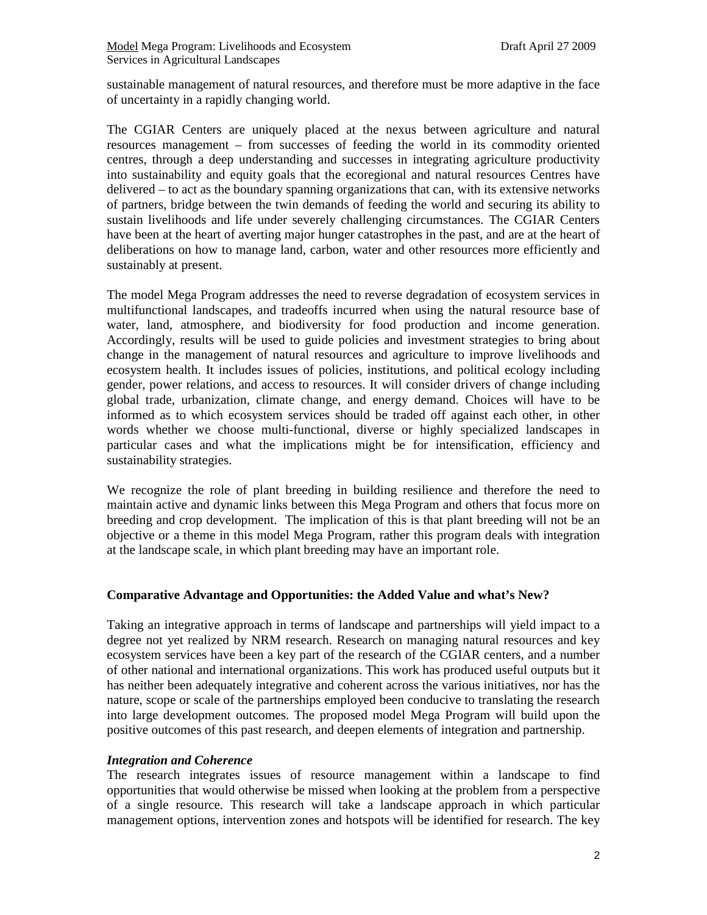sustainable management of natural resources, and therefore must be more adaptive in the face of uncertainty in a rapidly changing world.

The CGIAR Centers are uniquely placed at the nexus between agriculture and natural resources management – from successes of feeding the world in its commodity oriented centres, through a deep understanding and successes in integrating agriculture productivity into sustainability and equity goals that the ecoregional and natural resources Centres have delivered – to act as the boundary spanning organizations that can, with its extensive networks of partners, bridge between the twin demands of feeding the world and securing its ability to sustain livelihoods and life under severely challenging circumstances. The CGIAR Centers have been at the heart of averting major hunger catastrophes in the past, and are at the heart of deliberations on how to manage land, carbon, water and other resources more efficiently and sustainably at present.

The model Mega Program addresses the need to reverse degradation of ecosystem services in multifunctional landscapes, and tradeoffs incurred when using the natural resource base of water, land, atmosphere, and biodiversity for food production and income generation. Accordingly, results will be used to guide policies and investment strategies to bring about change in the management of natural resources and agriculture to improve livelihoods and ecosystem health. It includes issues of policies, institutions, and political ecology including gender, power relations, and access to resources. It will consider drivers of change including global trade, urbanization, climate change, and energy demand. Choices will have to be informed as to which ecosystem services should be traded off against each other, in other words whether we choose multi-functional, diverse or highly specialized landscapes in particular cases and what the implications might be for intensification, efficiency and sustainability strategies.

We recognize the role of plant breeding in building resilience and therefore the need to maintain active and dynamic links between this Mega Program and others that focus more on breeding and crop development. The implication of this is that plant breeding will not be an objective or a theme in this model Mega Program, rather this program deals with integration at the landscape scale, in which plant breeding may have an important role.

## **Comparative Advantage and Opportunities: the Added Value and what's New?**

Taking an integrative approach in terms of landscape and partnerships will yield impact to a degree not yet realized by NRM research. Research on managing natural resources and key ecosystem services have been a key part of the research of the CGIAR centers, and a number of other national and international organizations. This work has produced useful outputs but it has neither been adequately integrative and coherent across the various initiatives, nor has the nature, scope or scale of the partnerships employed been conducive to translating the research into large development outcomes. The proposed model Mega Program will build upon the positive outcomes of this past research, and deepen elements of integration and partnership.

## *Integration and Coherence*

The research integrates issues of resource management within a landscape to find opportunities that would otherwise be missed when looking at the problem from a perspective of a single resource. This research will take a landscape approach in which particular management options, intervention zones and hotspots will be identified for research. The key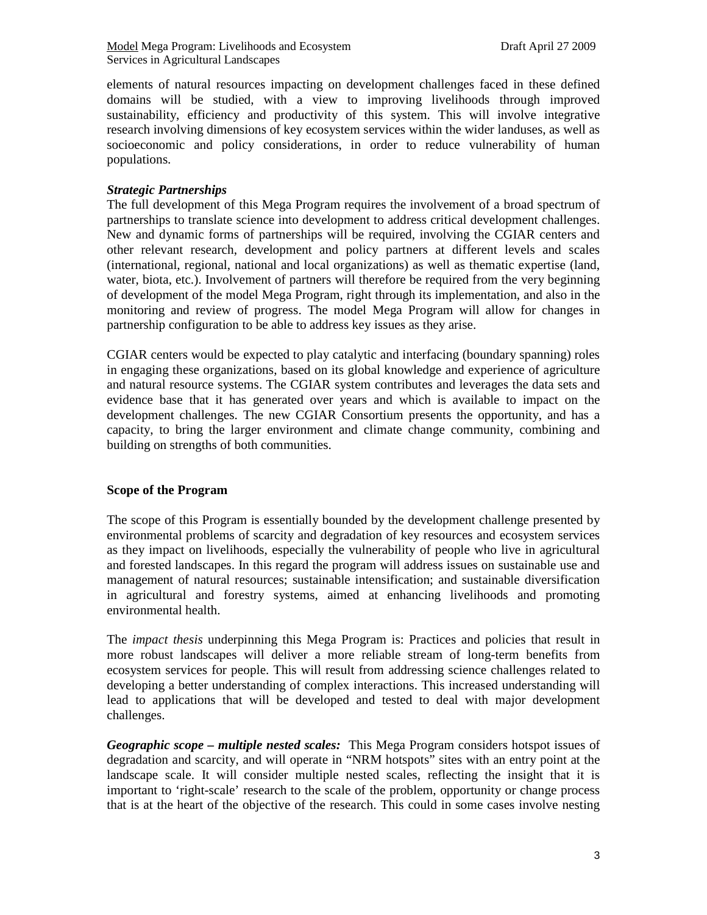elements of natural resources impacting on development challenges faced in these defined domains will be studied, with a view to improving livelihoods through improved sustainability, efficiency and productivity of this system. This will involve integrative research involving dimensions of key ecosystem services within the wider landuses, as well as socioeconomic and policy considerations, in order to reduce vulnerability of human populations.

## *Strategic Partnerships*

The full development of this Mega Program requires the involvement of a broad spectrum of partnerships to translate science into development to address critical development challenges. New and dynamic forms of partnerships will be required, involving the CGIAR centers and other relevant research, development and policy partners at different levels and scales (international, regional, national and local organizations) as well as thematic expertise (land, water, biota, etc.). Involvement of partners will therefore be required from the very beginning of development of the model Mega Program, right through its implementation, and also in the monitoring and review of progress. The model Mega Program will allow for changes in partnership configuration to be able to address key issues as they arise.

CGIAR centers would be expected to play catalytic and interfacing (boundary spanning) roles in engaging these organizations, based on its global knowledge and experience of agriculture and natural resource systems. The CGIAR system contributes and leverages the data sets and evidence base that it has generated over years and which is available to impact on the development challenges. The new CGIAR Consortium presents the opportunity, and has a capacity, to bring the larger environment and climate change community, combining and building on strengths of both communities.

## **Scope of the Program**

The scope of this Program is essentially bounded by the development challenge presented by environmental problems of scarcity and degradation of key resources and ecosystem services as they impact on livelihoods, especially the vulnerability of people who live in agricultural and forested landscapes. In this regard the program will address issues on sustainable use and management of natural resources; sustainable intensification; and sustainable diversification in agricultural and forestry systems, aimed at enhancing livelihoods and promoting environmental health.

The *impact thesis* underpinning this Mega Program is: Practices and policies that result in more robust landscapes will deliver a more reliable stream of long-term benefits from ecosystem services for people. This will result from addressing science challenges related to developing a better understanding of complex interactions. This increased understanding will lead to applications that will be developed and tested to deal with major development challenges.

*Geographic scope – multiple nested scales:* This Mega Program considers hotspot issues of degradation and scarcity, and will operate in "NRM hotspots" sites with an entry point at the landscape scale. It will consider multiple nested scales, reflecting the insight that it is important to 'right-scale' research to the scale of the problem, opportunity or change process that is at the heart of the objective of the research. This could in some cases involve nesting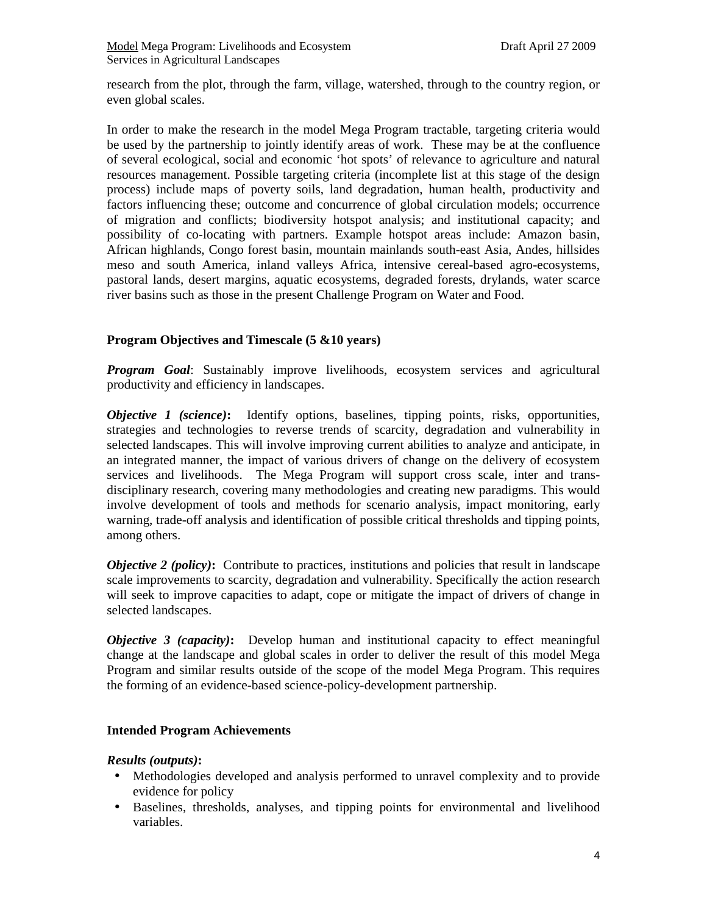research from the plot, through the farm, village, watershed, through to the country region, or even global scales.

In order to make the research in the model Mega Program tractable, targeting criteria would be used by the partnership to jointly identify areas of work. These may be at the confluence of several ecological, social and economic 'hot spots' of relevance to agriculture and natural resources management. Possible targeting criteria (incomplete list at this stage of the design process) include maps of poverty soils, land degradation, human health, productivity and factors influencing these; outcome and concurrence of global circulation models; occurrence of migration and conflicts; biodiversity hotspot analysis; and institutional capacity; and possibility of co-locating with partners. Example hotspot areas include: Amazon basin, African highlands, Congo forest basin, mountain mainlands south-east Asia, Andes, hillsides meso and south America, inland valleys Africa, intensive cereal-based agro-ecosystems, pastoral lands, desert margins, aquatic ecosystems, degraded forests, drylands, water scarce river basins such as those in the present Challenge Program on Water and Food.

## **Program Objectives and Timescale (5 &10 years)**

*Program Goal*: Sustainably improve livelihoods, ecosystem services and agricultural productivity and efficiency in landscapes.

*Objective 1 (science)***:** Identify options, baselines, tipping points, risks, opportunities, strategies and technologies to reverse trends of scarcity, degradation and vulnerability in selected landscapes. This will involve improving current abilities to analyze and anticipate, in an integrated manner, the impact of various drivers of change on the delivery of ecosystem services and livelihoods. The Mega Program will support cross scale, inter and transdisciplinary research, covering many methodologies and creating new paradigms. This would involve development of tools and methods for scenario analysis, impact monitoring, early warning, trade-off analysis and identification of possible critical thresholds and tipping points, among others.

*Objective 2 (policy)*: Contribute to practices, institutions and policies that result in landscape scale improvements to scarcity, degradation and vulnerability. Specifically the action research will seek to improve capacities to adapt, cope or mitigate the impact of drivers of change in selected landscapes.

*Objective 3 (capacity)*: Develop human and institutional capacity to effect meaningful change at the landscape and global scales in order to deliver the result of this model Mega Program and similar results outside of the scope of the model Mega Program. This requires the forming of an evidence-based science-policy-development partnership.

## **Intended Program Achievements**

## *Results (outputs)***:**

- Methodologies developed and analysis performed to unravel complexity and to provide evidence for policy
- Baselines, thresholds, analyses, and tipping points for environmental and livelihood variables.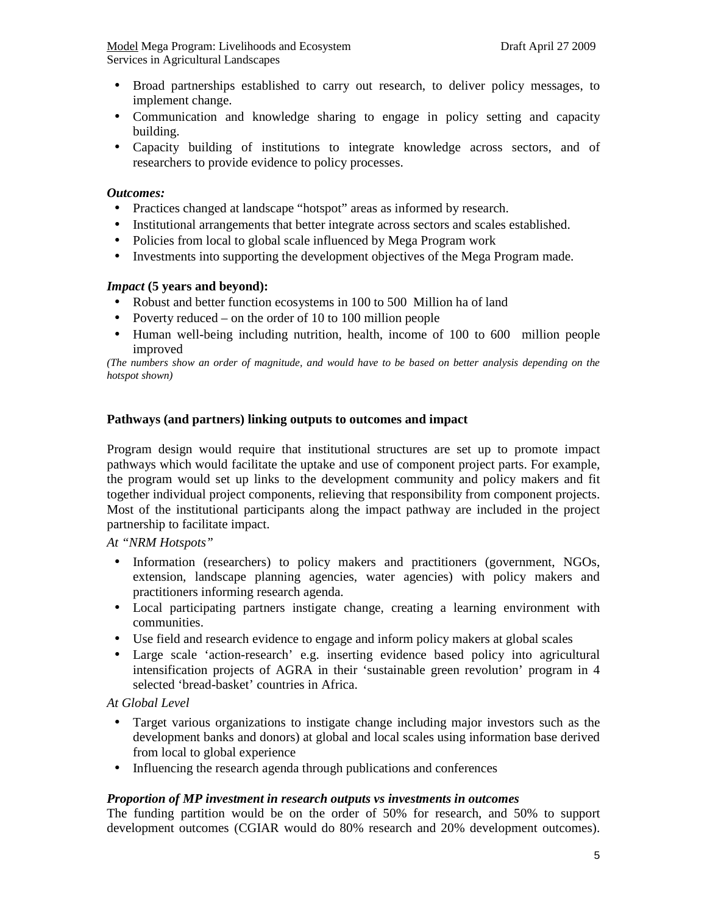- Broad partnerships established to carry out research, to deliver policy messages, to implement change.
- Communication and knowledge sharing to engage in policy setting and capacity building.
- Capacity building of institutions to integrate knowledge across sectors, and of researchers to provide evidence to policy processes.

## *Outcomes:*

- Practices changed at landscape "hotspot" areas as informed by research.
- Institutional arrangements that better integrate across sectors and scales established.
- Policies from local to global scale influenced by Mega Program work
- Investments into supporting the development objectives of the Mega Program made.

### *Impact* **(5 years and beyond):**

- Robust and better function ecosystems in 100 to 500 Million ha of land
- Poverty reduced on the order of 10 to 100 million people
- Human well-being including nutrition, health, income of 100 to 600 million people improved

*(The numbers show an order of magnitude, and would have to be based on better analysis depending on the hotspot shown)* 

#### **Pathways (and partners) linking outputs to outcomes and impact**

Program design would require that institutional structures are set up to promote impact pathways which would facilitate the uptake and use of component project parts. For example, the program would set up links to the development community and policy makers and fit together individual project components, relieving that responsibility from component projects. Most of the institutional participants along the impact pathway are included in the project partnership to facilitate impact.

*At "NRM Hotspots"* 

- Information (researchers) to policy makers and practitioners (government, NGOs, extension, landscape planning agencies, water agencies) with policy makers and practitioners informing research agenda.
- Local participating partners instigate change, creating a learning environment with communities.
- Use field and research evidence to engage and inform policy makers at global scales
- Large scale 'action-research' e.g. inserting evidence based policy into agricultural intensification projects of AGRA in their 'sustainable green revolution' program in 4 selected 'bread-basket' countries in Africa.

### *At Global Level*

- Target various organizations to instigate change including major investors such as the development banks and donors) at global and local scales using information base derived from local to global experience
- Influencing the research agenda through publications and conferences

#### *Proportion of MP investment in research outputs vs investments in outcomes*

The funding partition would be on the order of 50% for research, and 50% to support development outcomes (CGIAR would do 80% research and 20% development outcomes).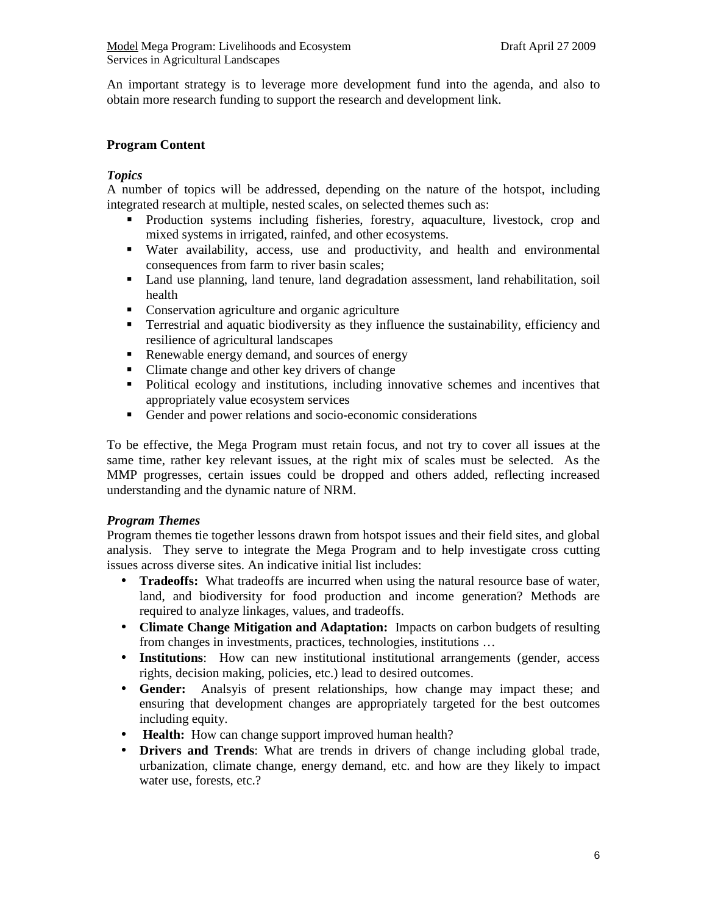An important strategy is to leverage more development fund into the agenda, and also to obtain more research funding to support the research and development link.

## **Program Content**

## *Topics*

A number of topics will be addressed, depending on the nature of the hotspot, including integrated research at multiple, nested scales, on selected themes such as:

- Production systems including fisheries, forestry, aquaculture, livestock, crop and mixed systems in irrigated, rainfed, and other ecosystems.
- Water availability, access, use and productivity, and health and environmental consequences from farm to river basin scales;
- Land use planning, land tenure, land degradation assessment, land rehabilitation, soil health
- Conservation agriculture and organic agriculture
- Terrestrial and aquatic biodiversity as they influence the sustainability, efficiency and resilience of agricultural landscapes
- Renewable energy demand, and sources of energy
- Climate change and other key drivers of change
- Political ecology and institutions, including innovative schemes and incentives that appropriately value ecosystem services
- Gender and power relations and socio-economic considerations

To be effective, the Mega Program must retain focus, and not try to cover all issues at the same time, rather key relevant issues, at the right mix of scales must be selected. As the MMP progresses, certain issues could be dropped and others added, reflecting increased understanding and the dynamic nature of NRM.

## *Program Themes*

Program themes tie together lessons drawn from hotspot issues and their field sites, and global analysis. They serve to integrate the Mega Program and to help investigate cross cutting issues across diverse sites. An indicative initial list includes:

- **Tradeoffs:** What tradeoffs are incurred when using the natural resource base of water, land, and biodiversity for food production and income generation? Methods are required to analyze linkages, values, and tradeoffs.
- **Climate Change Mitigation and Adaptation:** Impacts on carbon budgets of resulting from changes in investments, practices, technologies, institutions …
- **Institutions**: How can new institutional institutional arrangements (gender, access rights, decision making, policies, etc.) lead to desired outcomes.
- **Gender:** Analsyis of present relationships, how change may impact these; and ensuring that development changes are appropriately targeted for the best outcomes including equity.
- **Health:** How can change support improved human health?
- **Drivers and Trends**: What are trends in drivers of change including global trade, urbanization, climate change, energy demand, etc. and how are they likely to impact water use, forests, etc.?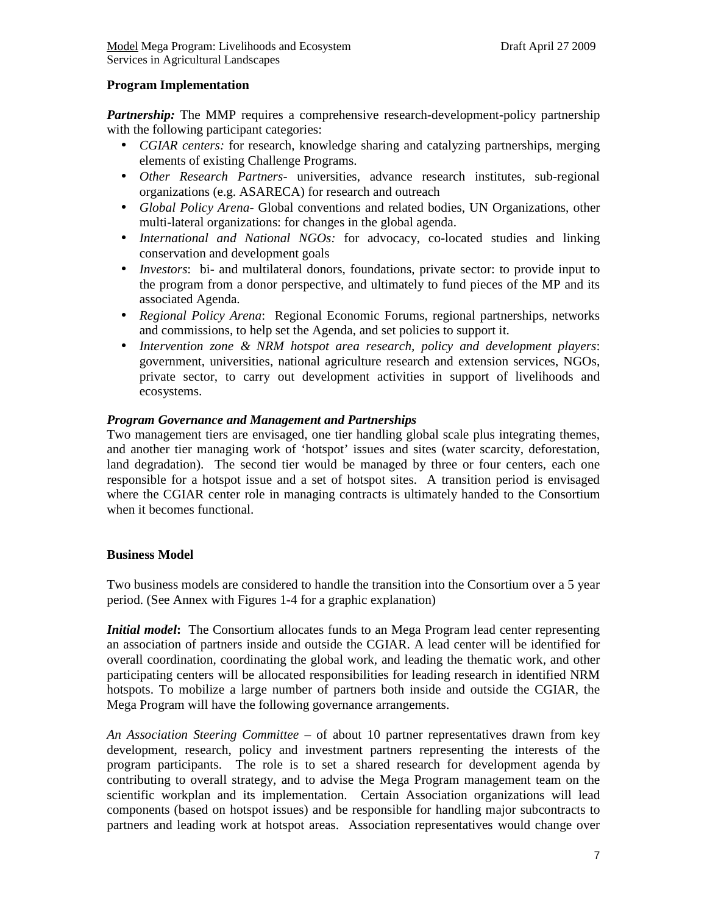## **Program Implementation**

*Partnership:* The MMP requires a comprehensive research-development-policy partnership with the following participant categories:

- *CGIAR centers:* for research, knowledge sharing and catalyzing partnerships, merging elements of existing Challenge Programs.
- *Other Research Partners* universities, advance research institutes, sub-regional organizations (e.g. ASARECA) for research and outreach
- *Global Policy Arena* Global conventions and related bodies, UN Organizations, other multi-lateral organizations: for changes in the global agenda.
- *International and National NGOs:* for advocacy, co-located studies and linking conservation and development goals
- *Investors*: bi- and multilateral donors, foundations, private sector: to provide input to the program from a donor perspective, and ultimately to fund pieces of the MP and its associated Agenda.
- *Regional Policy Arena*: Regional Economic Forums, regional partnerships, networks and commissions, to help set the Agenda, and set policies to support it.
- *Intervention zone & NRM hotspot area research, policy and development players*: government, universities, national agriculture research and extension services, NGOs, private sector, to carry out development activities in support of livelihoods and ecosystems.

## *Program Governance and Management and Partnerships*

Two management tiers are envisaged, one tier handling global scale plus integrating themes, and another tier managing work of 'hotspot' issues and sites (water scarcity, deforestation, land degradation). The second tier would be managed by three or four centers, each one responsible for a hotspot issue and a set of hotspot sites. A transition period is envisaged where the CGIAR center role in managing contracts is ultimately handed to the Consortium when it becomes functional.

## **Business Model**

Two business models are considered to handle the transition into the Consortium over a 5 year period. (See Annex with Figures 1-4 for a graphic explanation)

*Initial model*: The Consortium allocates funds to an Mega Program lead center representing an association of partners inside and outside the CGIAR. A lead center will be identified for overall coordination, coordinating the global work, and leading the thematic work, and other participating centers will be allocated responsibilities for leading research in identified NRM hotspots. To mobilize a large number of partners both inside and outside the CGIAR, the Mega Program will have the following governance arrangements.

*An Association Steering Committee* – of about 10 partner representatives drawn from key development, research, policy and investment partners representing the interests of the program participants. The role is to set a shared research for development agenda by contributing to overall strategy, and to advise the Mega Program management team on the scientific workplan and its implementation. Certain Association organizations will lead components (based on hotspot issues) and be responsible for handling major subcontracts to partners and leading work at hotspot areas. Association representatives would change over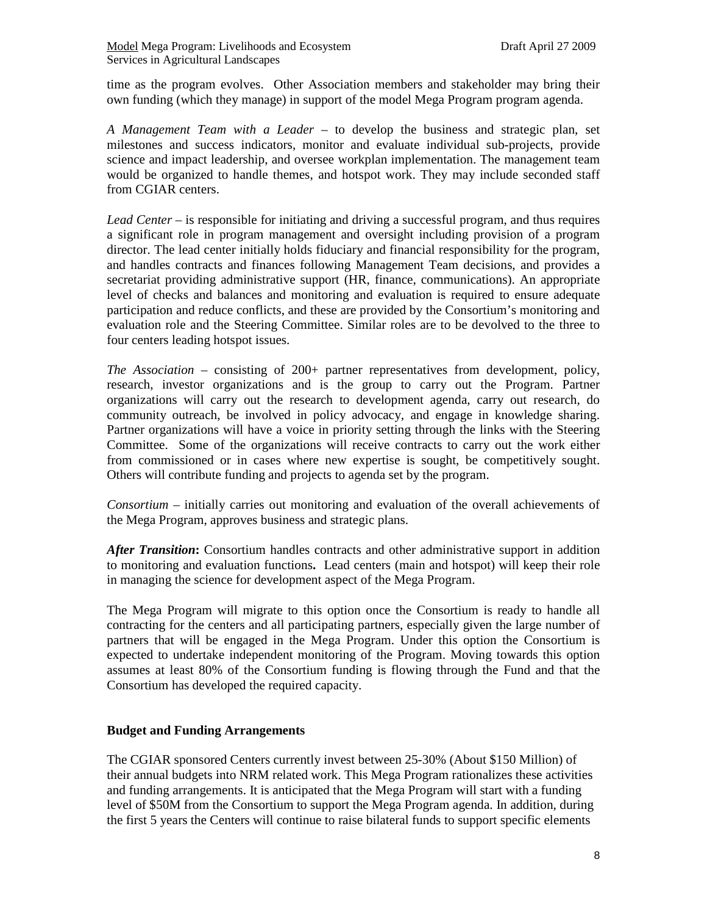time as the program evolves. Other Association members and stakeholder may bring their own funding (which they manage) in support of the model Mega Program program agenda.

*A Management Team with a Leader* – to develop the business and strategic plan, set milestones and success indicators, monitor and evaluate individual sub-projects, provide science and impact leadership, and oversee workplan implementation. The management team would be organized to handle themes, and hotspot work. They may include seconded staff from CGIAR centers.

*Lead Center* – is responsible for initiating and driving a successful program, and thus requires a significant role in program management and oversight including provision of a program director. The lead center initially holds fiduciary and financial responsibility for the program, and handles contracts and finances following Management Team decisions, and provides a secretariat providing administrative support (HR, finance, communications). An appropriate level of checks and balances and monitoring and evaluation is required to ensure adequate participation and reduce conflicts, and these are provided by the Consortium's monitoring and evaluation role and the Steering Committee. Similar roles are to be devolved to the three to four centers leading hotspot issues.

*The Association* – consisting of 200+ partner representatives from development, policy, research, investor organizations and is the group to carry out the Program. Partner organizations will carry out the research to development agenda, carry out research, do community outreach, be involved in policy advocacy, and engage in knowledge sharing. Partner organizations will have a voice in priority setting through the links with the Steering Committee. Some of the organizations will receive contracts to carry out the work either from commissioned or in cases where new expertise is sought, be competitively sought. Others will contribute funding and projects to agenda set by the program.

*Consortium* – initially carries out monitoring and evaluation of the overall achievements of the Mega Program, approves business and strategic plans.

*After Transition***:** Consortium handles contracts and other administrative support in addition to monitoring and evaluation functions**.** Lead centers (main and hotspot) will keep their role in managing the science for development aspect of the Mega Program.

The Mega Program will migrate to this option once the Consortium is ready to handle all contracting for the centers and all participating partners, especially given the large number of partners that will be engaged in the Mega Program. Under this option the Consortium is expected to undertake independent monitoring of the Program. Moving towards this option assumes at least 80% of the Consortium funding is flowing through the Fund and that the Consortium has developed the required capacity.

## **Budget and Funding Arrangements**

The CGIAR sponsored Centers currently invest between 25-30% (About \$150 Million) of their annual budgets into NRM related work. This Mega Program rationalizes these activities and funding arrangements. It is anticipated that the Mega Program will start with a funding level of \$50M from the Consortium to support the Mega Program agenda. In addition, during the first 5 years the Centers will continue to raise bilateral funds to support specific elements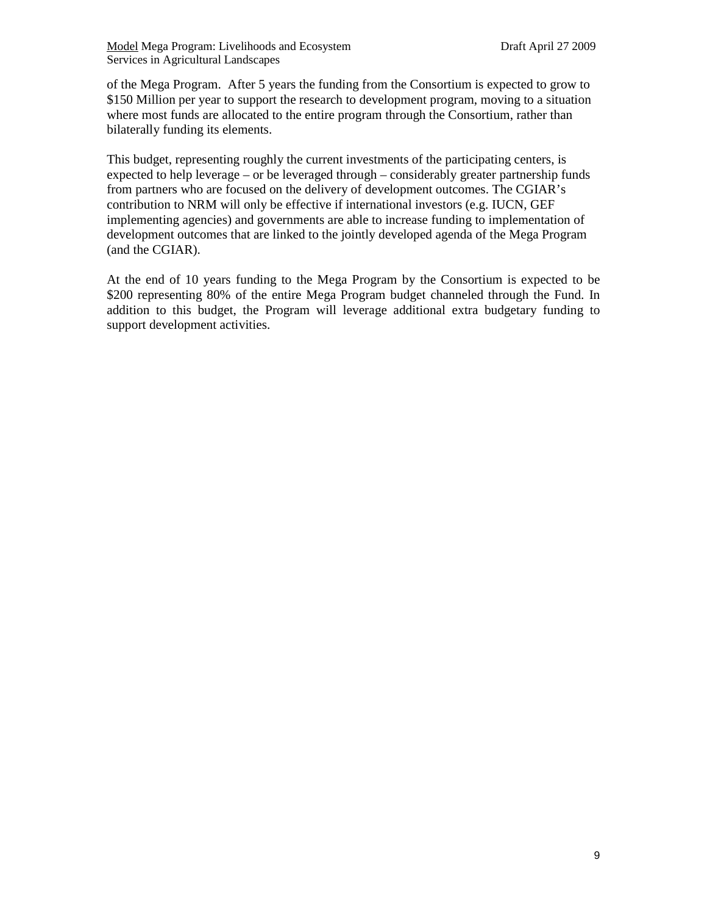of the Mega Program. After 5 years the funding from the Consortium is expected to grow to \$150 Million per year to support the research to development program, moving to a situation where most funds are allocated to the entire program through the Consortium, rather than bilaterally funding its elements.

This budget, representing roughly the current investments of the participating centers, is expected to help leverage – or be leveraged through – considerably greater partnership funds from partners who are focused on the delivery of development outcomes. The CGIAR's contribution to NRM will only be effective if international investors (e.g. IUCN, GEF implementing agencies) and governments are able to increase funding to implementation of development outcomes that are linked to the jointly developed agenda of the Mega Program (and the CGIAR).

At the end of 10 years funding to the Mega Program by the Consortium is expected to be \$200 representing 80% of the entire Mega Program budget channeled through the Fund. In addition to this budget, the Program will leverage additional extra budgetary funding to support development activities.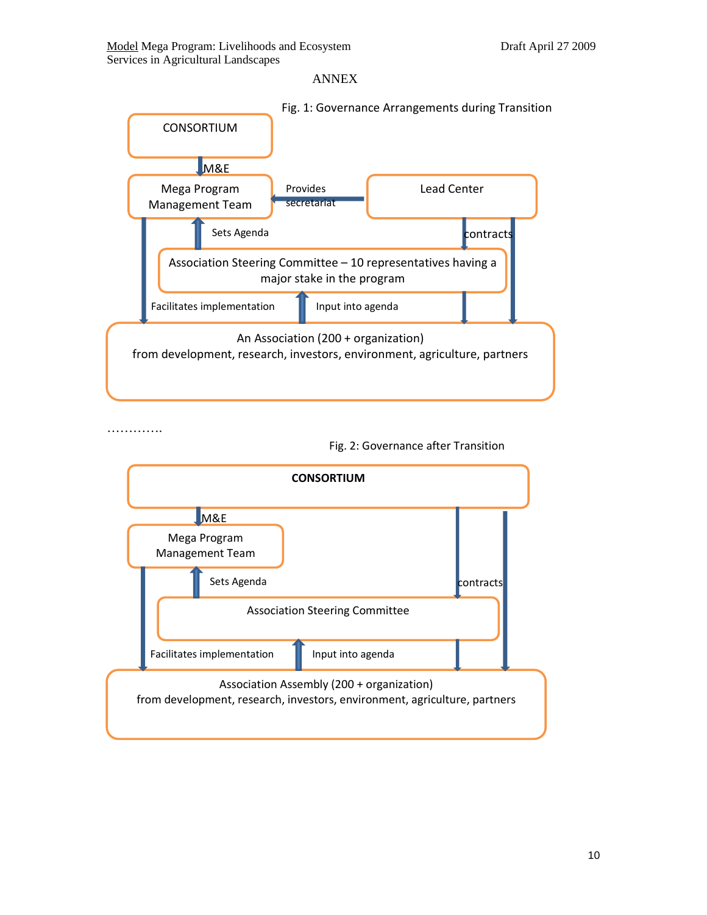#### ANNEX



………….

Fig. 2: Governance after Transition